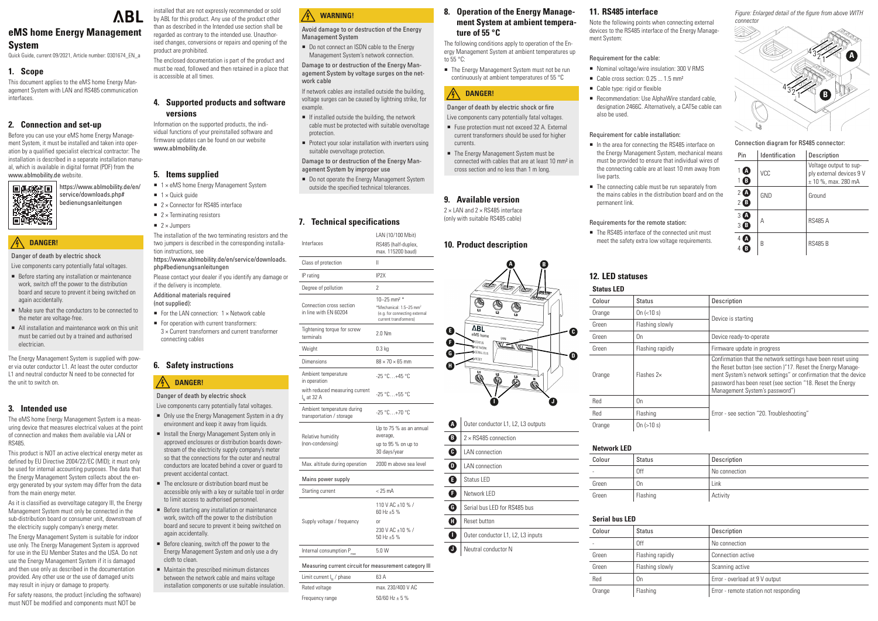## **eMS home Energy Management System**

Quick Guide, current 09/2021, Article number: 0301674\_EN\_a

## **1. Scope**

This document applies to the eMS home Energy Management System with LAN and RS485 communication interfaces.

## **2. Connection and set-up**

Before you can use your eMS home Energy Management System, it must be installed and taken into operation by a qualified specialist electrical contractor: The installation is described in a separate installation manual, which is available in digital format (PDF) from the [www.ablmobility.de](http://www.ablmobility.de) website.

- Before starting any installation or maintenance work, switch off the power to the distribution board and secure to prevent it being switched on again accidentally.
- Make sure that the conductors to be connected to the meter are voltage-free.
- All installation and maintenance work on this unit must be carried out by a trained and authorised electrician.

## **DANGER!**

### Danger of death by electric shock

Live components carry potentially fatal voltages.

The Energy Management System is supplied with power via outer conductor L1. At least the outer conductor L1 and neutral conductor N need to be connected for the unit to switch on.

## **3. Intended use**

The eMS home Energy Management System is a measuring device that measures electrical values at the point of connection and makes them available via LAN or RS485.

This product is NOT an active electrical energy meter as defined by EU Directive 2004/22/EC (MID); it must only be used for internal accounting purposes. The data that the Energy Management System collects about the energy generated by your system may differ from the data from the main energy meter.

As it is classified as overvoltage category III, the Energy Management System must only be connected in the sub-distribution board or consumer unit, downstream of the electricity supply company's energy meter.

The Energy Management System is suitable for indoor use only. The Energy Management System is approved for use in the EU Member States and the USA. Do not use the Energy Management System if it is damaged and then use only as described in the documentation provided. Any other use or the use of damaged units may result in injury or damage to property.

The enclosure or distribution board must be accessible only with a key or suitable tool in order

### For safety reasons, the product (including the software) must NOT be modified and components must NOT be

Before cleaning, switch off the power to the Energy Management System and only use a dry



■ Maintain the prescribed minimum distances between the network cable and mains voltage installation components or use suitable insulation. *Figure: Enlarged detail of the figure from above WITH connector* 

# **ABL**

installed that are not expressly recommended or sold by ABL for this product. Any use of the product other than as described in the Intended use section shall be regarded as contrary to the intended use. Unauthorised changes, conversions or repairs and opening of the

product are prohibited.

The enclosed documentation is part of the product and must be read, followed and then retained in a place that

is accessible at all times.

**4. Supported products and software** 

**versions**

Information on the supported products, the individual functions of your preinstalled software and firmware updates can be found on our website

 $\blacksquare$  1 x eMS home Energy Management System

[www.ablmobility.de](http://www.ablmobility.de).

 $\blacksquare$  1 × Quick guide

 $\blacksquare$  2 × Jumpers

**5. Items supplied**

Do not connect an ISDN cable to the Energy Management System's network connection.

The installation of the two terminating resistors and the two jumpers is described in the corresponding installa-

- $\blacksquare$  If installed outside the building, the network cable must be protected with suitable overvoltage protection.
- $\blacksquare$  Protect your solar installation with inverters using suitable overvoltage protection.

tion instructions, see

■ Do not operate the Energy Management System outside the specified technical tolerances.

[https://www.ablmobility.de/en/service/downloads.](https://www.ablmobility.de/en/service/downloads.php#bedienungsanleitungen)

[php#bedienungsanleitungen](https://www.ablmobility.de/en/service/downloads.php#bedienungsanleitungen)

Please contact your dealer if you identify any damage or

 $3 \times$  Current transformers and current transformer

For the LAN connection:  $1 \times$  Network cable  $\blacksquare$  For operation with current transformers:

 $\blacksquare$  2 × Connector for RS485 interface  $\blacksquare$  2 × Terminating resistors

if the delivery is incomplete. Additional materials required

(not supplied):

connecting cables

**6. Safety instructions**

**DANGER!**

Danger of death by electric shock

Live components carry potentially fatal voltages. ■ Only use the Energy Management System in a dry environment and keep it away from liquids. ■ Install the Energy Management System only in approved enclosures or distribution boards downstream of the electricity supply company's meter so that the connections for the outer and neutral conductors are located behind a cover or guard to

■ The Energy Management System must not be run continuously at ambient temperatures of 55 °C

#### $\mathcal{A}$ **DANGER!**

prevent accidental contact.

 $2 \times$  LAN and  $2 \times$  RS485 interface (only with suitable RS485 cable)

to limit access to authorised personnel. **Before starting any installation or maintenance** work, switch off the power to the distribution board and secure to prevent it being switched on

again accidentally.

- Nominal voltage/wire insulation: 300 V RMS
	- Cable cross section:  $0.25...1.5$  mm<sup>2</sup>
- Cable type: rigid or flexible
	- Recommendation: Use AlphaWire standard cable, designation 2466C. Alternatively, a CAT5e cable can also be used.

cloth to clean.

- In the area for connecting the RS485 interface on the Energy Management System, mechanical means must be provided to ensure that individual wires of the connecting cable are at least 10 mm away from live parts.
- The connecting cable must be run separately from the mains cables in the distribution board and on the permanent link.

■ The RS485 interface of the connected unit must meet the safety extra low voltage requirements.



#### Connection diagram for RS485 connector:

| Pin                            | Identification | Description                                                                   |
|--------------------------------|----------------|-------------------------------------------------------------------------------|
| A<br>в                         | VCC            | Voltage output to sup-<br>ply external devices 9 V<br>$\pm$ 10 %, max. 280 mA |
| 2 <sub>4</sub><br>$\mathbf{B}$ | GND            | Ground                                                                        |
| 31<br>$\mathbf A$<br>B.        | А              | <b>RS485 A</b>                                                                |
| А                              | B              | <b>RS485 B</b>                                                                |

## <span id="page-0-1"></span>**12. LED statuses**

#### **Status LED**

| Colour | <b>Status</b>     | Description                                                                                                                                                                                                                                                                                     |
|--------|-------------------|-------------------------------------------------------------------------------------------------------------------------------------------------------------------------------------------------------------------------------------------------------------------------------------------------|
| Orange | On $(< 10 s)$     |                                                                                                                                                                                                                                                                                                 |
| Green  | Flashing slowly   | Device is starting                                                                                                                                                                                                                                                                              |
| Green  | 0n                | Device ready-to-operate                                                                                                                                                                                                                                                                         |
| Green  | Flashing rapidly  | Firmware update in progress                                                                                                                                                                                                                                                                     |
| Orange | Flashes $2\times$ | Confirmation that the network settings have been reset using<br>the Reset button (see section )"17. Reset the Energy Manage-<br>ment System's network settings" or confirmation that the device<br>password has been reset (see section "18. Reset the Energy<br>Management System's password") |
| Red    | 0n                |                                                                                                                                                                                                                                                                                                 |
| Red    | Flashing          | Error - see section "20. Troubleshooting"                                                                                                                                                                                                                                                       |
| Orange | On $(>10 s)$      |                                                                                                                                                                                                                                                                                                 |

# **Network LED**

| Colour | <b>Status</b>  | Description   |
|--------|----------------|---------------|
|        | 0ff            | No connection |
| Green  | 0 <sub>n</sub> | Link          |
| Green  | Flashing       | Activity      |

#### **Serial bus LED**

| Colour | Status           | Description                           |
|--------|------------------|---------------------------------------|
|        | 0ff              | No connection                         |
| Green  | Flashing rapidly | Connection active                     |
| Green  | Flashing slowly  | Scanning active                       |
| Red    | 0n               | Error - overload at 9 V output        |
| Orange | Flashing         | Error - remote station not responding |
|        |                  |                                       |

## **WARNING!**

Avoid damage to or destruction of the Energy Management System

Damage to or destruction of the Energy Management System by voltage surges on the network cable

If network cables are installed outside the building, voltage surges can be caused by lightning strike, for example.

Damage to or destruction of the Energy Management System by improper use

### <span id="page-0-0"></span>**7. Technical specifications**

|                                                          | LAN (10/100 Mbit)                                                                             |
|----------------------------------------------------------|-----------------------------------------------------------------------------------------------|
| Interfaces                                               | RS485 (half-duplex,<br>max. 115200 baud)                                                      |
| Class of protection                                      | Ш                                                                                             |
| IP rating                                                | IP <sub>2</sub> X                                                                             |
| Degree of pollution                                      | $\overline{2}$                                                                                |
|                                                          | 10-25 mm <sup>2</sup> *                                                                       |
| <b>Connection cross section</b><br>in line with EN 60204 | *Mechanical: 1.5-25 mm <sup>2</sup><br>(e.g. for connecting external<br>current transformers) |
| Tightening torque for screw<br>terminals                 | $2.0$ Nm                                                                                      |
| Weight                                                   | $0.3$ kg                                                                                      |
| Dimensions                                               | $88 \times 70 \times 65$ mm                                                                   |
| Ambient temperature<br>in operation                      | $-25 °C+45 °C$                                                                                |
| with reduced measuring current<br>I <sub>N</sub> at 32 A | $-25 °C+55 °C$                                                                                |
| Ambient temperature during<br>transportation / storage   | $-25 °C+70 °C$                                                                                |
| Relative humidity                                        | Up to 75 % as an annual<br>average,                                                           |
| (non-condensing)                                         | up to 95 % on up to<br>30 days/year                                                           |
| Max. altitude during operation                           | 2000 m above sea level                                                                        |
| Mains power supply                                       |                                                                                               |
| Starting current                                         | $< 25 \text{ mA}$                                                                             |
|                                                          | 110 V AC ±10 % /<br>60 Hz ±5 %                                                                |
| Supply voltage / frequency                               | 0r                                                                                            |
|                                                          | 230 V AC ±10 % /<br>$50 Hz + 5 \%$                                                            |
| Internal consumption P <sub>max</sub>                    | 5.0W                                                                                          |
| Measuring current circuit for measurement category II    |                                                                                               |

| 60204                       | (e.g. for connecting external<br>current transformers) |
|-----------------------------|--------------------------------------------------------|
| que for screw               | $2.0$ Nm                                               |
|                             | 0.3 <sub>kq</sub>                                      |
|                             | $88 \times 70 \times 65$ mm                            |
| erature                     | $-25 °C+45 °C$                                         |
| neasuring current           | $-25 °C + 55 °C$                                       |
| erature during<br>/ storage | $-25 °C+70 °C$                                         |
| lity                        | Up to 75 % as an annual<br>average,                    |
| ng)                         | up to 95 % on up to<br>30 days/year                    |
| during operation            | 2000 m above sea level                                 |
| supply                      |                                                        |
| ١t                          | $< 25 \text{ mA}$                                      |
|                             | 110 V AC ±10 % /<br>$60$ Hz +5 %                       |

Measuring current circuit for measurement category lll

| 63 A              |
|-------------------|
| max. 230/400 V AC |
| $50/60$ Hz + 5 %  |
|                   |

#### **8. Operation of the Energy Management System at ambient temperature of 55 °C**

The following conditions apply to operation of the Energy Management System at ambient temperatures up to 55 °C:

Danger of death by electric shock or fire

- Live components carry potentially fatal voltages.
- Fuse protection must not exceed 32 A. External current transformers should be used for higher currents.
- The Energy Management System must be connected with cables that are at least 10 mm² in cross section and no less than 1 m long.

### **9. Available version**

## **10. Product description**

| E                | <b>A</b><br>B<br>Œ<br>a <sub>cre</sub><br>ΛBL                                        |
|------------------|--------------------------------------------------------------------------------------|
| Ō<br>e<br>G      | eMS home<br>LAN<br>$\mathbf{\bullet}$ status<br>V1<br>NETWORK<br>SERIAL BUS<br>RESFT |
| Ĥ                | N                                                                                    |
| A                | Outer conductor L1, L2, L3 outputs                                                   |
| B                | $2 \times$ RS485 connection                                                          |
| $\mathbf 0$      | <b>LAN</b> connection                                                                |
| $\boldsymbol{0}$ | <b>LAN</b> connection                                                                |
| G                | <b>Status LED</b>                                                                    |
| ß                | Network LED                                                                          |
| G                | Serial bus LED for RS485 bus                                                         |
| ⊕                | Reset button                                                                         |
| 0                | Outer conductor L1, L2, L3 inputs                                                    |
| J                | Neutral conductor N                                                                  |

**D**

**C**

## **11. RS485 interface**

Note the following points when connecting external devices to the RS485 interface of the Energy Management System:

#### Requirement for the cable:

#### Requirement for cable installation:

#### Requirements for the remote station: